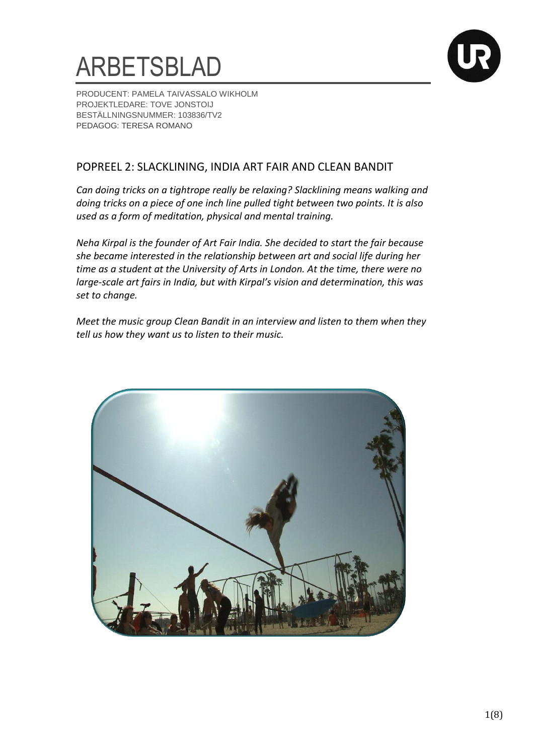



PRODUCENT: PAMELA TAIVASSALO WIKHOLM PROJEKTLEDARE: TOVE JONSTOIJ BESTÄLLNINGSNUMMER: 103836/TV2 PEDAGOG: TERESA ROMANO

### POPREEL 2: SLACKLINING, INDIA ART FAIR AND CLEAN BANDIT

*Can doing tricks on a tightrope really be relaxing? Slacklining means walking and doing tricks on a piece of one inch line pulled tight between two points. It is also used as a form of meditation, physical and mental training.* 

*Neha Kirpal is the founder of Art Fair India. She decided to start the fair because she became interested in the relationship between art and social life during her time as a student at the University of Arts in London. At the time, there were no large-scale art fairs in India, but with Kirpal's vision and determination, this was set to change.* 

*Meet the music group Clean Bandit in an interview and listen to them when they tell us how they want us to listen to their music.* 

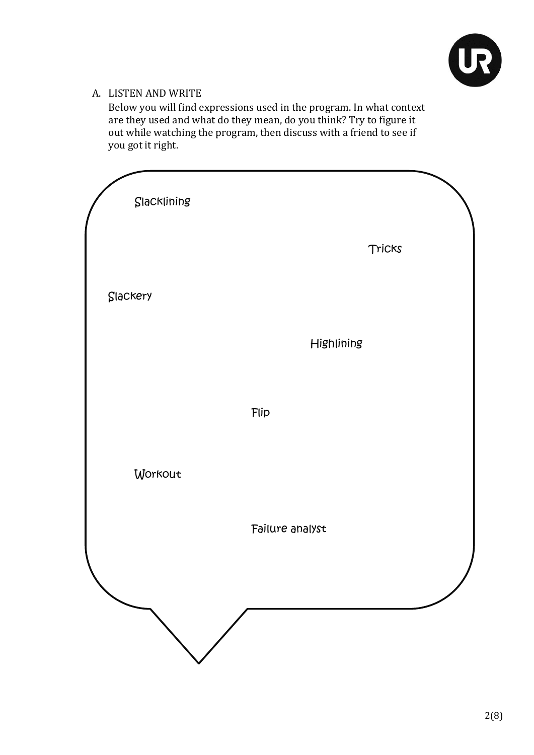

### A. LISTEN AND WRITE

Below you will find expressions used in the program. In what context are they used and what do they mean, do you think? Try to figure it out while watching the program, then discuss with a friend to see if you got it right.

| Slacklining |                 |
|-------------|-----------------|
|             | Tricks          |
| Slackery    |                 |
|             | Highlining      |
|             | Flip            |
| Workout     |                 |
|             | Failure analyst |
|             |                 |
|             |                 |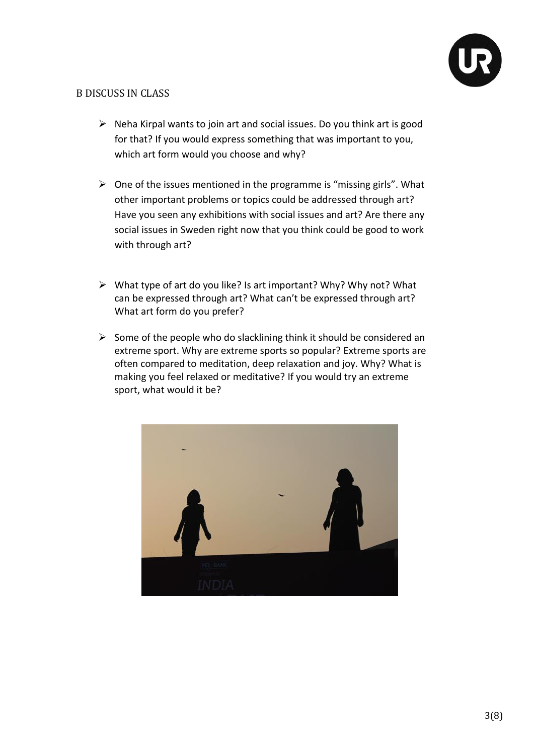

#### B DISCUSS IN CLASS

- $\triangleright$  Neha Kirpal wants to join art and social issues. Do you think art is good for that? If you would express something that was important to you, which art form would you choose and why?
- $\triangleright$  One of the issues mentioned in the programme is "missing girls". What other important problems or topics could be addressed through art? Have you seen any exhibitions with social issues and art? Are there any social issues in Sweden right now that you think could be good to work with through art?
- $\triangleright$  What type of art do you like? Is art important? Why? Why not? What can be expressed through art? What can't be expressed through art? What art form do you prefer?
- $\triangleright$  Some of the people who do slacklining think it should be considered an extreme sport. Why are extreme sports so popular? Extreme sports are often compared to meditation, deep relaxation and joy. Why? What is making you feel relaxed or meditative? If you would try an extreme sport, what would it be?

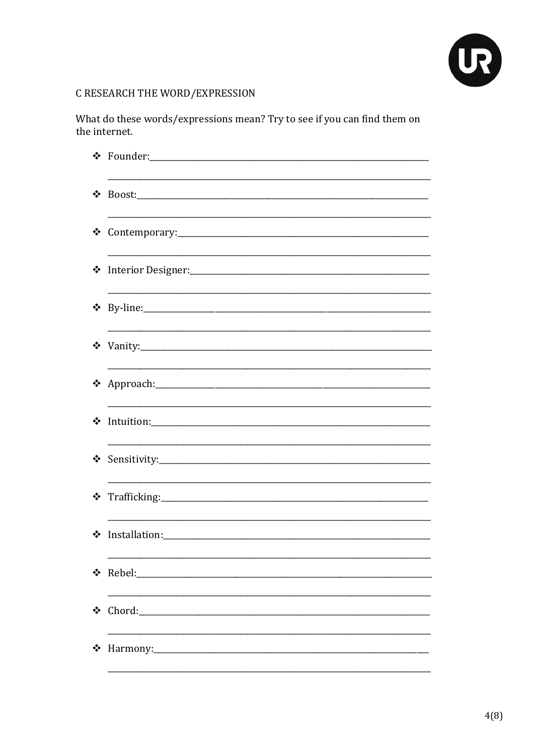

## C RESEARCH THE WORD/EXPRESSION

What do these words/expressions mean? Try to see if you can find them on the internet.

| $\cdot \cdot$ |                      |
|---------------|----------------------|
| ❖             |                      |
|               | * Interior Designer: |
|               |                      |
|               |                      |
|               | * Approach: 1999)    |
| ❖             |                      |
|               |                      |
|               |                      |
| ❖             |                      |
| ❖             | Rebel:               |
| ❖             | Chord:               |
| ❖             | Harmony:             |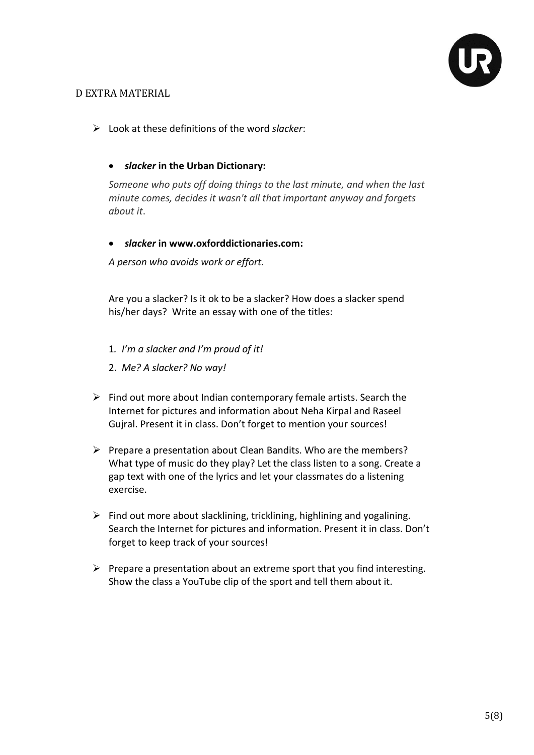

### D EXTRA MATERIAL

- Look at these definitions of the word *slacker*:
	- *slacker* **in the Urban Dictionary:**

*Someone who puts off doing things to the last minute, and when the last minute comes, decides it wasn't all that important anyway and forgets about it*.

*slacker* **i[n www.oxforddictionaries.com:](http://www.oxforddictionaries.com/)**

*A person who avoids work or [effort.](http://www.oxforddictionaries.com/definition/english/effort#effort__3)*

Are you a slacker? Is it ok to be a slacker? How does a slacker spend his/her days? Write an essay with one of the titles:

- 1*. I'm a slacker and I'm proud of it!*
- 2. *Me? A slacker? No way!*
- $\triangleright$  Find out more about Indian contemporary female artists. Search the Internet for pictures and information about Neha Kirpal and Raseel Gujral. Present it in class. Don't forget to mention your sources!
- $\triangleright$  Prepare a presentation about Clean Bandits. Who are the members? What type of music do they play? Let the class listen to a song. Create a gap text with one of the lyrics and let your classmates do a listening exercise.
- $\triangleright$  Find out more about slacklining, tricklining, highlining and yogalining. Search the Internet for pictures and information. Present it in class. Don't forget to keep track of your sources!
- $\triangleright$  Prepare a presentation about an extreme sport that you find interesting. Show the class a YouTube clip of the sport and tell them about it.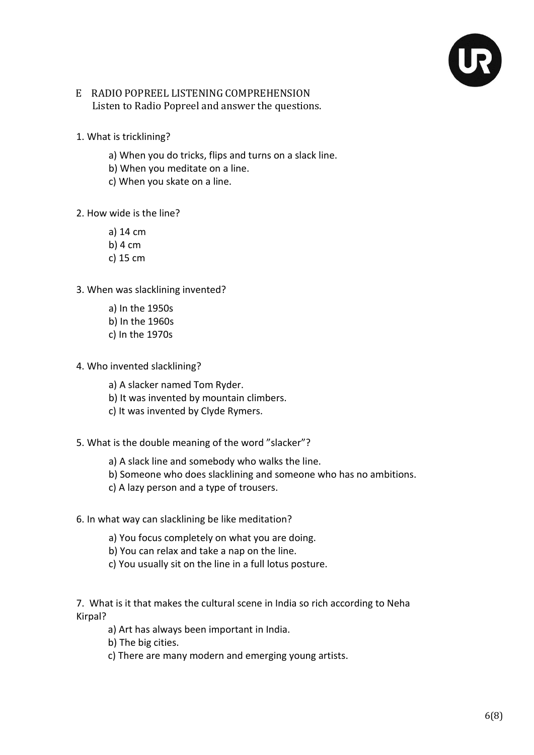

### E RADIO POPREEL LISTENING COMPREHENSION Listen to Radio Popreel and answer the questions.

- 1. What is tricklining?
	- a) When you do tricks, flips and turns on a slack line.
	- b) When you meditate on a line.
	- c) When you skate on a line.
- 2. How wide is the line?
	- a) 14 cm
	- b) 4 cm
	- c) 15 cm
- 3. When was slacklining invented?
	- a) In the 1950s b) In the 1960s c) In the 1970s
- 4. Who invented slacklining?
	- a) A slacker named Tom Ryder.
	- b) It was invented by mountain climbers.
	- c) It was invented by Clyde Rymers.
- 5. What is the double meaning of the word "slacker"?
	- a) A slack line and somebody who walks the line.
	- b) Someone who does slacklining and someone who has no ambitions.
	- c) A lazy person and a type of trousers.
- 6. In what way can slacklining be like meditation?
	- a) You focus completely on what you are doing.
	- b) You can relax and take a nap on the line.
	- c) You usually sit on the line in a full lotus posture.

7. What is it that makes the cultural scene in India so rich according to Neha Kirpal?

- a) Art has always been important in India.
- b) The big cities.
- c) There are many modern and emerging young artists.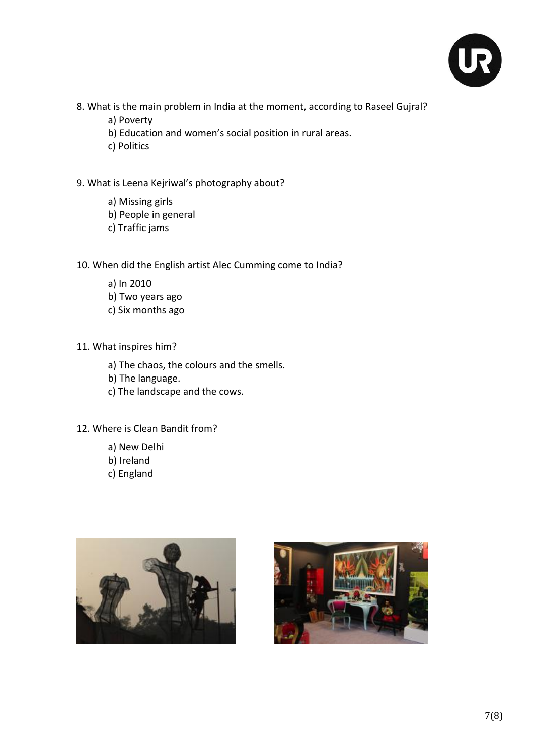

- 8. What is the main problem in India at the moment, according to Raseel Gujral?
	- a) Poverty
	- b) Education and women's social position in rural areas.
	- c) Politics
- 9. What is Leena Kejriwal's photography about?
	- a) Missing girls
	- b) People in general
	- c) Traffic jams
- 10. When did the English artist Alec Cumming come to India?
	- a) In 2010 b) Two years ago c) Six months ago
- 11. What inspires him?
	- a) The chaos, the colours and the smells.
	- b) The language.
	- c) The landscape and the cows.
- 12. Where is Clean Bandit from?
	- a) New Delhi
	- b) Ireland
	- c) England